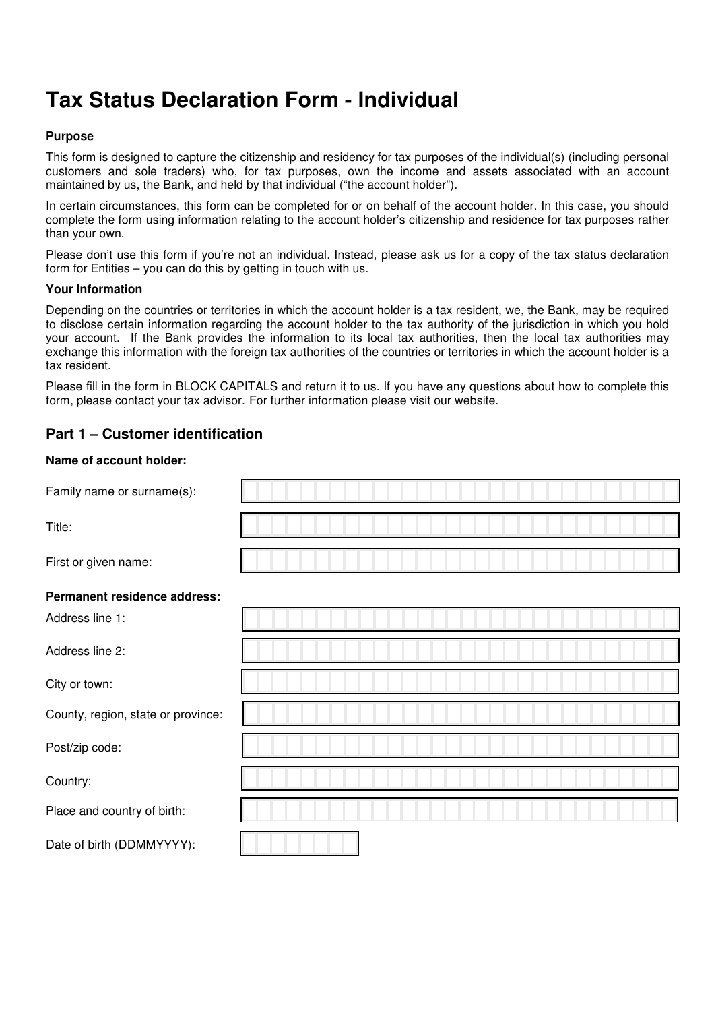# **Tax Status Declaration Form - Individual**

#### **Purpose**

This form is designed to capture the citizenship and residency for tax purposes of the individual(s) (including personal customers and sole traders) who, for tax purposes, own the income and assets associated with an account maintained by us, the Bank, and held by that individual ("the account holder").

In certain circumstances, this form can be completed for or on behalf of the account holder. In this case, you should complete the form using information relating to the account holder's citizenship and residence for tax purposes rather than your own.

Please don't use this form if you're not an individual. Instead, please ask us for a copy of the tax status declaration form for Entities – you can do this by getting in touch with us.

#### **Your Information**

Depending on the countries or territories in which the account holder is a tax resident, we, the Bank, may be required to disclose certain information regarding the account holder to the tax authority of the jurisdiction in which you hold your account. If the Bank provides the information to its local tax authorities, then the local tax authorities may exchange this information with the foreign tax authorities of the countries or territories in which the account holder is a tax resident.

Please fill in the form in BLOCK CAPITALS and return it to us. If you have any questions about how to complete this form, please contact your tax advisor. For further information please visit our website.

## **Part 1 – Customer identification**

#### **Name of account holder:**

| Family name or surname(s):         |  |
|------------------------------------|--|
| Title:                             |  |
| First or given name:               |  |
| Permanent residence address:       |  |
| Address line 1:                    |  |
| Address line 2:                    |  |
| City or town:                      |  |
| County, region, state or province: |  |
| Post/zip code:                     |  |
| Country:                           |  |
| Place and country of birth:        |  |
| Date of birth (DDMMYYYY):          |  |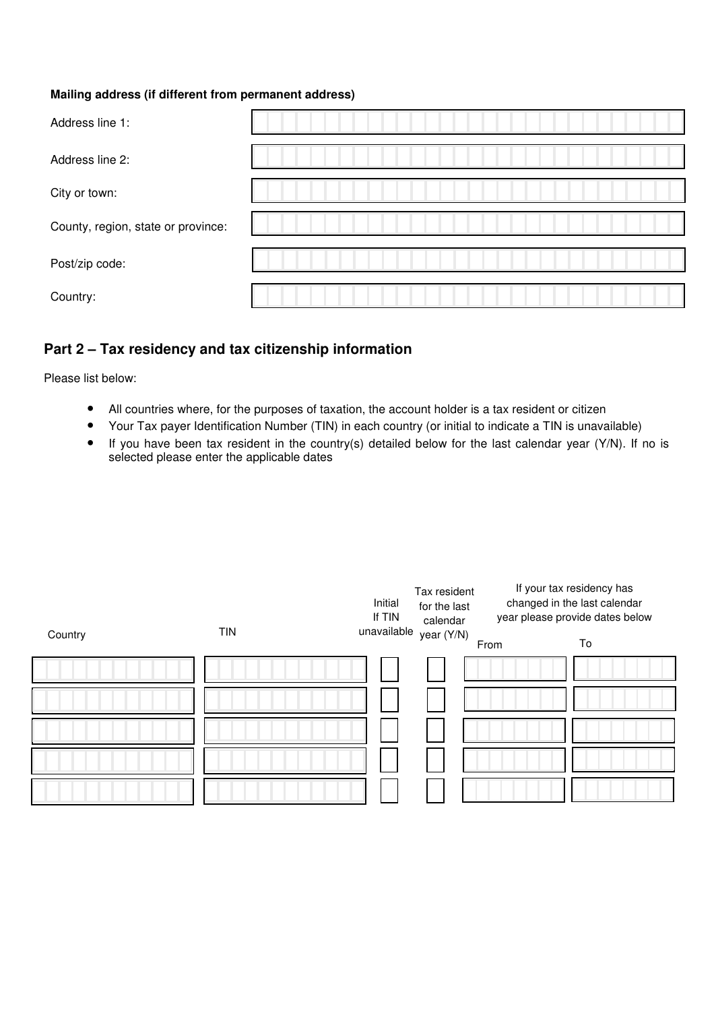#### **Mailing address (if different from permanent address)**

| Address line 1:                    |  |
|------------------------------------|--|
| Address line 2:                    |  |
| City or town:                      |  |
| County, region, state or province: |  |
| Post/zip code:                     |  |
| Country:                           |  |

# **Part 2 – Tax residency and tax citizenship information**

Please list below:

- All countries where, for the purposes of taxation, the account holder is a tax resident or citizen
- Your Tax payer Identification Number (TIN) in each country (or initial to indicate a TIN is unavailable)
- If you have been tax resident in the country(s) detailed below for the last calendar year (Y/N). If no is selected please enter the applicable dates

|         |            | Initial<br>If TIN | Tax resident<br>for the last<br>calendar |      | If your tax residency has<br>changed in the last calendar<br>year please provide dates below |
|---------|------------|-------------------|------------------------------------------|------|----------------------------------------------------------------------------------------------|
| Country | <b>TIN</b> | unavailable       | year (Y/N)                               | From | To                                                                                           |
|         |            |                   |                                          |      |                                                                                              |
|         |            |                   |                                          |      |                                                                                              |
|         |            |                   |                                          |      |                                                                                              |
|         |            |                   |                                          |      |                                                                                              |
|         |            |                   |                                          |      |                                                                                              |